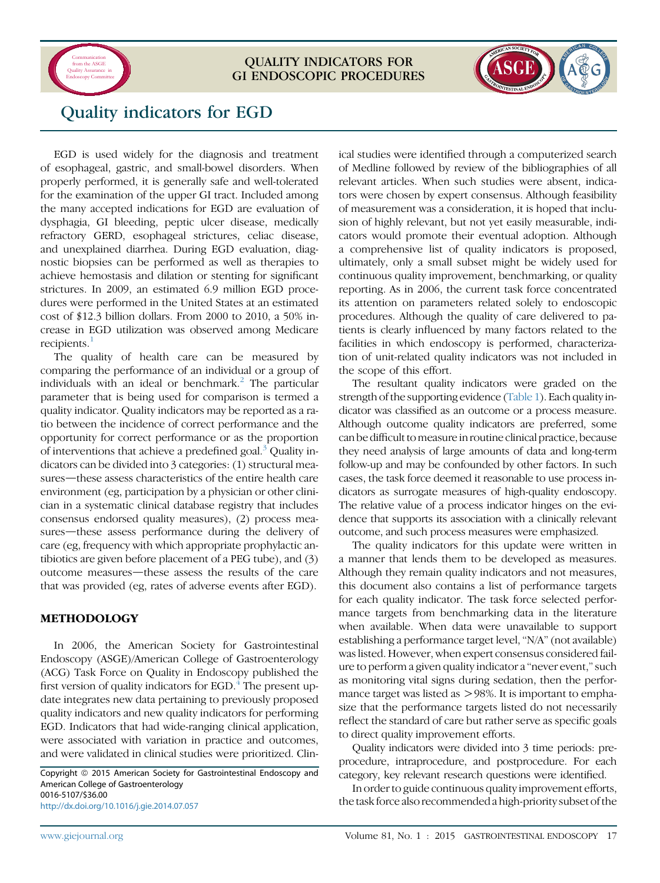



# Quality indicators for EGD

EGD is used widely for the diagnosis and treatment of esophageal, gastric, and small-bowel disorders. When properly performed, it is generally safe and well-tolerated for the examination of the upper GI tract. Included among the many accepted indications for EGD are evaluation of dysphagia, GI bleeding, peptic ulcer disease, medically refractory GERD, esophageal strictures, celiac disease, and unexplained diarrhea. During EGD evaluation, diagnostic biopsies can be performed as well as therapies to achieve hemostasis and dilation or stenting for significant strictures. In 2009, an estimated 6.9 million EGD procedures were performed in the United States at an estimated cost of \$12.3 billion dollars. From 2000 to 2010, a 50% increase in EGD utilization was observed among Medicare recipients.<sup>[1](#page-12-0)</sup>

The quality of health care can be measured by comparing the performance of an individual or a group of individuals with an ideal or benchmark.<sup>[2](#page-12-0)</sup> The particular parameter that is being used for comparison is termed a quality indicator. Quality indicators may be reported as a ratio between the incidence of correct performance and the opportunity for correct performance or as the proportion of interventions that achieve a predefined goal.<sup>[3](#page-12-0)</sup> Quality indicators can be divided into 3 categories: (1) structural measures—these assess characteristics of the entire health care environment (eg, participation by a physician or other clinician in a systematic clinical database registry that includes consensus endorsed quality measures), (2) process measures—these assess performance during the delivery of care (eg, frequency with which appropriate prophylactic antibiotics are given before placement of a PEG tube), and (3) outcome measures—these assess the results of the care that was provided (eg, rates of adverse events after EGD).

## METHODOLOGY

In 2006, the American Society for Gastrointestinal Endoscopy (ASGE)/American College of Gastroenterology (ACG) Task Force on Quality in Endoscopy published the first version of quality indicators for  $EGD<sup>4</sup>$  $EGD<sup>4</sup>$  $EGD<sup>4</sup>$ . The present update integrates new data pertaining to previously proposed quality indicators and new quality indicators for performing EGD. Indicators that had wide-ranging clinical application, were associated with variation in practice and outcomes, and were validated in clinical studies were prioritized. Clin-

Copyright @ 2015 American Society for Gastrointestinal Endoscopy and American College of Gastroenterology 0016-5107/\$36.00 <http://dx.doi.org/10.1016/j.gie.2014.07.057>

ical studies were identified through a computerized search of Medline followed by review of the bibliographies of all relevant articles. When such studies were absent, indicators were chosen by expert consensus. Although feasibility of measurement was a consideration, it is hoped that inclusion of highly relevant, but not yet easily measurable, indicators would promote their eventual adoption. Although a comprehensive list of quality indicators is proposed, ultimately, only a small subset might be widely used for continuous quality improvement, benchmarking, or quality reporting. As in 2006, the current task force concentrated its attention on parameters related solely to endoscopic procedures. Although the quality of care delivered to patients is clearly influenced by many factors related to the facilities in which endoscopy is performed, characterization of unit-related quality indicators was not included in the scope of this effort.

The resultant quality indicators were graded on the strength of the supporting evidence [\(Table 1\)](#page-1-0). Each quality indicator was classified as an outcome or a process measure. Although outcome quality indicators are preferred, some can be difficult tomeasure in routine clinical practice, because they need analysis of large amounts of data and long-term follow-up and may be confounded by other factors. In such cases, the task force deemed it reasonable to use process indicators as surrogate measures of high-quality endoscopy. The relative value of a process indicator hinges on the evidence that supports its association with a clinically relevant outcome, and such process measures were emphasized.

The quality indicators for this update were written in a manner that lends them to be developed as measures. Although they remain quality indicators and not measures, this document also contains a list of performance targets for each quality indicator. The task force selected performance targets from benchmarking data in the literature when available. When data were unavailable to support establishing a performance target level, "N/A" (not available) was listed. However, when expert consensus considered failure to perform a given quality indicator a "never event,"such as monitoring vital signs during sedation, then the performance target was listed as  $> 98\%$ . It is important to emphasize that the performance targets listed do not necessarily reflect the standard of care but rather serve as specific goals to direct quality improvement efforts.

Quality indicators were divided into 3 time periods: preprocedure, intraprocedure, and postprocedure. For each category, key relevant research questions were identified.

In order to guide continuous quality improvement efforts, the task force also recommended a high-priority subset of the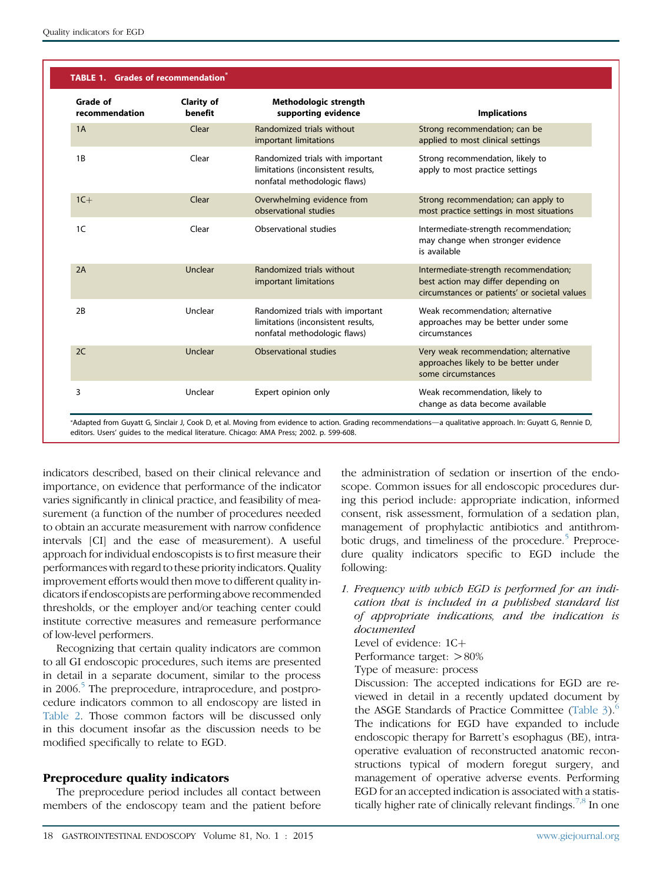<span id="page-1-0"></span>

| <b>Grade of</b><br>recommendation | <b>Clarity of</b><br>benefit | Methodologic strength<br>supporting evidence                                                           | <b>Implications</b>                                                                                                           |
|-----------------------------------|------------------------------|--------------------------------------------------------------------------------------------------------|-------------------------------------------------------------------------------------------------------------------------------|
| 1A                                | Clear                        | Randomized trials without<br>important limitations                                                     | Strong recommendation; can be<br>applied to most clinical settings                                                            |
| 1B                                | Clear                        | Randomized trials with important<br>limitations (inconsistent results,<br>nonfatal methodologic flaws) | Strong recommendation, likely to<br>apply to most practice settings                                                           |
| $1C+$                             | Clear                        | Overwhelming evidence from<br>observational studies                                                    | Strong recommendation; can apply to<br>most practice settings in most situations                                              |
| 1 <sup>C</sup>                    | Clear                        | Observational studies                                                                                  | Intermediate-strength recommendation;<br>may change when stronger evidence<br>is available                                    |
| 2A                                | Unclear                      | Randomized trials without<br>important limitations                                                     | Intermediate-strength recommendation;<br>best action may differ depending on<br>circumstances or patients' or societal values |
| 2B                                | Unclear                      | Randomized trials with important<br>limitations (inconsistent results,<br>nonfatal methodologic flaws) | Weak recommendation; alternative<br>approaches may be better under some<br>circumstances                                      |
| 2C                                | Unclear                      | Observational studies                                                                                  | Very weak recommendation; alternative<br>approaches likely to be better under<br>some circumstances                           |
| 3                                 | Unclear                      | Expert opinion only                                                                                    | Weak recommendation, likely to<br>change as data become available                                                             |

editors. Users' guides to the medical literature. Chicago: AMA Press; 2002. p. 599-608.

indicators described, based on their clinical relevance and importance, on evidence that performance of the indicator varies significantly in clinical practice, and feasibility of measurement (a function of the number of procedures needed to obtain an accurate measurement with narrow confidence intervals [CI] and the ease of measurement). A useful approach for individual endoscopists is to first measure their performances with regard to these priority indicators. Quality improvement efforts would then move to different quality indicators if endoscopists are performing above recommended thresholds, or the employer and/or teaching center could institute corrective measures and remeasure performance of low-level performers.

Recognizing that certain quality indicators are common to all GI endoscopic procedures, such items are presented in detail in a separate document, similar to the process in 2006.<sup>[5](#page-12-0)</sup> The preprocedure, intraprocedure, and postprocedure indicators common to all endoscopy are listed in [Table 2](#page-2-0). Those common factors will be discussed only in this document insofar as the discussion needs to be modified specifically to relate to EGD.

## Preprocedure quality indicators

The preprocedure period includes all contact between members of the endoscopy team and the patient before the administration of sedation or insertion of the endoscope. Common issues for all endoscopic procedures during this period include: appropriate indication, informed consent, risk assessment, formulation of a sedation plan, management of prophylactic antibiotics and antithrom-botic drugs, and timeliness of the procedure.<sup>[5](#page-12-0)</sup> Preprocedure quality indicators specific to EGD include the following:

1. Frequency with which EGD is performed for an indication that is included in a published standard list of appropriate indications, and the indication is documented

Level of evidence:  $1C +$ 

Performance target:  $>80\%$ 

Type of measure: process

Discussion: The accepted indications for EGD are reviewed in detail in a recently updated document by the ASGE Standards of Practice Committee [\(Table 3](#page-4-0)).<sup>[6](#page-12-0)</sup> The indications for EGD have expanded to include endoscopic therapy for Barrett's esophagus (BE), intraoperative evaluation of reconstructed anatomic reconstructions typical of modern foregut surgery, and management of operative adverse events. Performing EGD for an accepted indication is associated with a statis-tically higher rate of clinically relevant findings.<sup>[7,8](#page-12-0)</sup> In one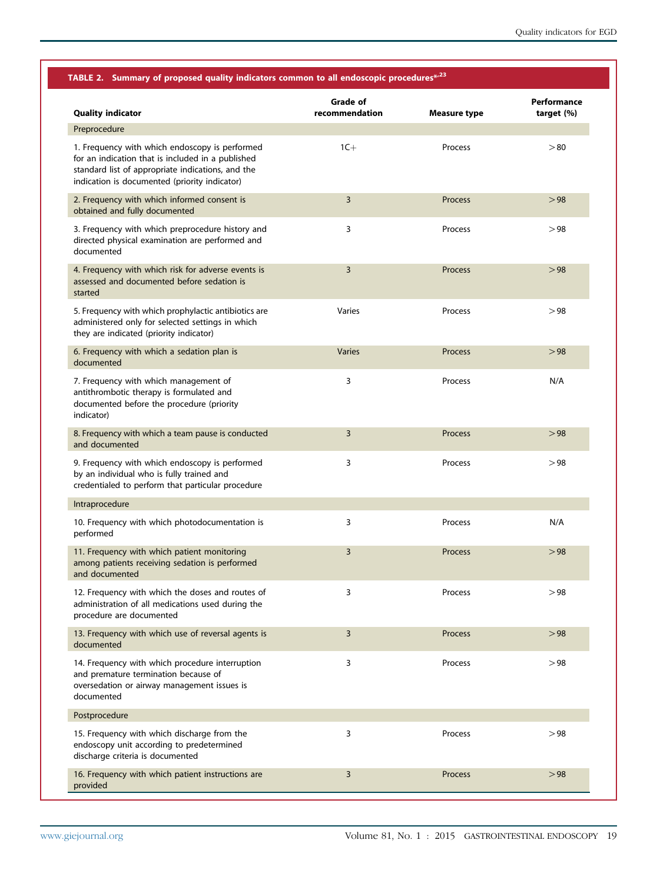<span id="page-2-0"></span>

| TABLE 2. Summary of proposed quality indicators common to all endoscopic procedures* <sup>23</sup>                                                                                                        |                            |                     |                           |
|-----------------------------------------------------------------------------------------------------------------------------------------------------------------------------------------------------------|----------------------------|---------------------|---------------------------|
| <b>Quality indicator</b>                                                                                                                                                                                  | Grade of<br>recommendation | <b>Measure type</b> | Performance<br>target (%) |
| Preprocedure                                                                                                                                                                                              |                            |                     |                           |
| 1. Frequency with which endoscopy is performed<br>for an indication that is included in a published<br>standard list of appropriate indications, and the<br>indication is documented (priority indicator) | $1C+$                      | Process             | > 80                      |
| 2. Frequency with which informed consent is<br>obtained and fully documented                                                                                                                              | 3                          | Process             | > 98                      |
| 3. Frequency with which preprocedure history and<br>directed physical examination are performed and<br>documented                                                                                         | 3                          | Process             | > 98                      |
| 4. Frequency with which risk for adverse events is<br>assessed and documented before sedation is<br>started                                                                                               | 3                          | Process             | > 98                      |
| 5. Frequency with which prophylactic antibiotics are<br>administered only for selected settings in which<br>they are indicated (priority indicator)                                                       | Varies                     | Process             | > 98                      |
| 6. Frequency with which a sedation plan is<br>documented                                                                                                                                                  | Varies                     | Process             | > 98                      |
| 7. Frequency with which management of<br>antithrombotic therapy is formulated and<br>documented before the procedure (priority<br>indicator)                                                              | 3                          | Process             | N/A                       |
| 8. Frequency with which a team pause is conducted<br>and documented                                                                                                                                       | 3                          | Process             | > 98                      |
| 9. Frequency with which endoscopy is performed<br>by an individual who is fully trained and<br>credentialed to perform that particular procedure                                                          | 3                          | Process             | > 98                      |
| Intraprocedure                                                                                                                                                                                            |                            |                     |                           |
| 10. Frequency with which photodocumentation is<br>performed                                                                                                                                               | 3                          | Process             | N/A                       |
| 11. Frequency with which patient monitoring<br>among patients receiving sedation is performed<br>and documented                                                                                           | 3                          | Process             | > 98                      |
| 12. Frequency with which the doses and routes of<br>administration of all medications used during the<br>procedure are documented                                                                         | 3                          | Process             | > 98                      |
| 13. Frequency with which use of reversal agents is<br>documented                                                                                                                                          | 3                          | Process             | > 98                      |
| 14. Frequency with which procedure interruption<br>and premature termination because of<br>oversedation or airway management issues is<br>documented                                                      | 3                          | Process             | > 98                      |
| Postprocedure                                                                                                                                                                                             |                            |                     |                           |
| 15. Frequency with which discharge from the<br>endoscopy unit according to predetermined<br>discharge criteria is documented                                                                              | 3                          | Process             | > 98                      |
| 16. Frequency with which patient instructions are<br>provided                                                                                                                                             | 3                          | Process             | > 98                      |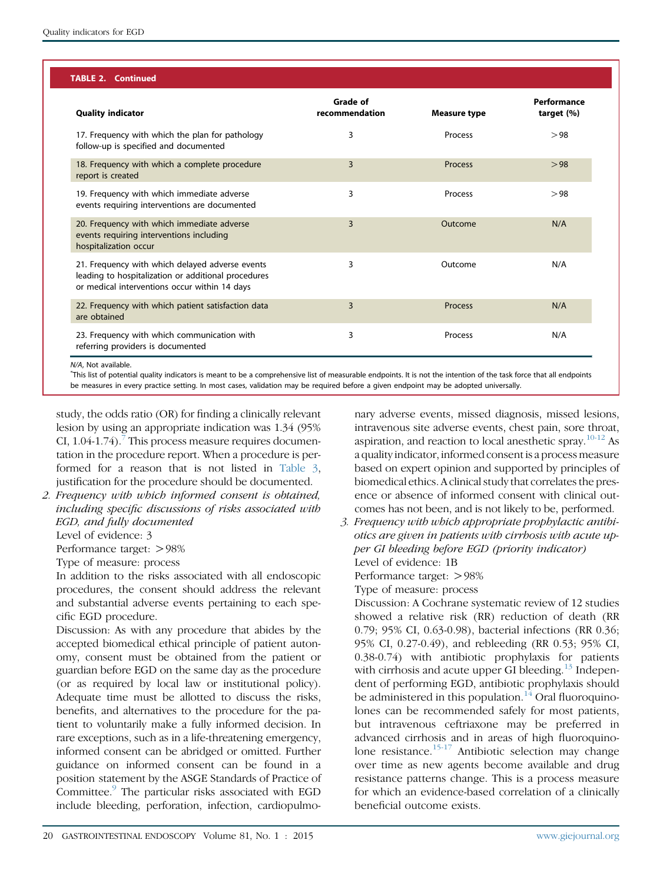<span id="page-3-0"></span>

| <b>Quality indicator</b>                                                                                                                                | Grade of<br>recommendation | <b>Measure type</b> | Performance<br>target (%) |
|---------------------------------------------------------------------------------------------------------------------------------------------------------|----------------------------|---------------------|---------------------------|
| 17. Frequency with which the plan for pathology<br>follow-up is specified and documented                                                                | 3                          | Process             | > 98                      |
| 18. Frequency with which a complete procedure<br>report is created                                                                                      | 3                          | Process             | > 98                      |
| 19. Frequency with which immediate adverse<br>events requiring interventions are documented                                                             | 3                          | Process             | > 98                      |
| 20. Frequency with which immediate adverse<br>events requiring interventions including<br>hospitalization occur                                         | 3                          | Outcome             | N/A                       |
| 21. Frequency with which delayed adverse events<br>leading to hospitalization or additional procedures<br>or medical interventions occur within 14 days | 3                          | Outcome             | N/A                       |
| 22. Frequency with which patient satisfaction data<br>are obtained                                                                                      | 3                          | Process             | N/A                       |
| 23. Frequency with which communication with<br>referring providers is documented                                                                        | 3                          | Process             | N/A                       |

N/A, Not available.<br>"This list of potential quality indicators is meant to be a comprehensive list of measurable endpoints. It is not the intention of the task force that all endpoints be measures in every practice setting. In most cases, validation may be required before a given endpoint may be adopted universally.

study, the odds ratio (OR) for finding a clinically relevant lesion by using an appropriate indication was 1.34 (95% CI,  $1.04-1.74$  $1.04-1.74$  $1.04-1.74$ ).<sup>7</sup> This process measure requires documentation in the procedure report. When a procedure is performed for a reason that is not listed in [Table 3](#page-4-0), justification for the procedure should be documented.

2. Frequency with which informed consent is obtained, including specific discussions of risks associated with EGD, and fully documented

Level of evidence: 3

Performance target: > 98%

Type of measure: process

In addition to the risks associated with all endoscopic procedures, the consent should address the relevant and substantial adverse events pertaining to each specific EGD procedure.

Discussion: As with any procedure that abides by the accepted biomedical ethical principle of patient autonomy, consent must be obtained from the patient or guardian before EGD on the same day as the procedure (or as required by local law or institutional policy). Adequate time must be allotted to discuss the risks, benefits, and alternatives to the procedure for the patient to voluntarily make a fully informed decision. In rare exceptions, such as in a life-threatening emergency, informed consent can be abridged or omitted. Further guidance on informed consent can be found in a position statement by the ASGE Standards of Practice of Committee.<sup>[9](#page-12-0)</sup> The particular risks associated with EGD include bleeding, perforation, infection, cardiopulmonary adverse events, missed diagnosis, missed lesions, intravenous site adverse events, chest pain, sore throat, aspiration, and reaction to local anesthetic spray.  $10^{-12}$  As a quality indicator, informed consent is a process measure based on expert opinion and supported by principles of biomedical ethics. A clinical study that correlates the presence or absence of informed consent with clinical outcomes has not been, and is not likely to be, performed.

3. Frequency with which appropriate prophylactic antibiotics are given in patients with cirrhosis with acute upper GI bleeding before EGD (priority indicator) Level of evidence: 1B

Performance target:  $>98\%$ 

Type of measure: process

Discussion: A Cochrane systematic review of 12 studies showed a relative risk (RR) reduction of death (RR 0.79; 95% CI, 0.63-0.98), bacterial infections (RR 0.36; 95% CI, 0.27-0.49), and rebleeding (RR 0.53; 95% CI, 0.38-0.74) with antibiotic prophylaxis for patients with cirrhosis and acute upper GI bleeding.<sup>[13](#page-12-0)</sup> Independent of performing EGD, antibiotic prophylaxis should be administered in this population.<sup>[14](#page-12-0)</sup> Oral fluoroquinolones can be recommended safely for most patients, but intravenous ceftriaxone may be preferred in advanced cirrhosis and in areas of high fluoroquinolone resistance. $15-17$  Antibiotic selection may change over time as new agents become available and drug resistance patterns change. This is a process measure for which an evidence-based correlation of a clinically beneficial outcome exists.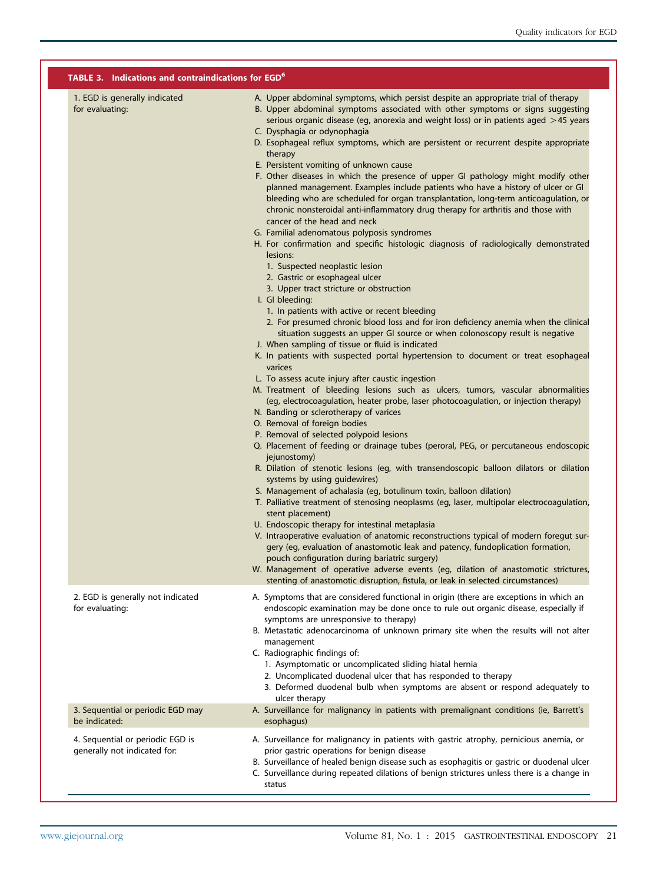i<br>Li

<span id="page-4-0"></span>

| <b>TABLE 3. Indications and contraindications for EGD<sup>°</sup></b>                  |                                                                                                                                                                                                                                                                                                                                                                                                                                                                                                                                                                                                                                                                                                                                                                                                                                                                                                                                                                                                                                                                                                                                                                                                                                                                                                                                                                                                                                                                                                                                                                                                                                                                                                                                                                                                                                                                                                                                                                                                                                                                                                                                                                                                                                                                                                                                                                                                                                                                                                                                                                                                                                                    |
|----------------------------------------------------------------------------------------|----------------------------------------------------------------------------------------------------------------------------------------------------------------------------------------------------------------------------------------------------------------------------------------------------------------------------------------------------------------------------------------------------------------------------------------------------------------------------------------------------------------------------------------------------------------------------------------------------------------------------------------------------------------------------------------------------------------------------------------------------------------------------------------------------------------------------------------------------------------------------------------------------------------------------------------------------------------------------------------------------------------------------------------------------------------------------------------------------------------------------------------------------------------------------------------------------------------------------------------------------------------------------------------------------------------------------------------------------------------------------------------------------------------------------------------------------------------------------------------------------------------------------------------------------------------------------------------------------------------------------------------------------------------------------------------------------------------------------------------------------------------------------------------------------------------------------------------------------------------------------------------------------------------------------------------------------------------------------------------------------------------------------------------------------------------------------------------------------------------------------------------------------------------------------------------------------------------------------------------------------------------------------------------------------------------------------------------------------------------------------------------------------------------------------------------------------------------------------------------------------------------------------------------------------------------------------------------------------------------------------------------------------|
| 1. EGD is generally indicated<br>for evaluating:                                       | A. Upper abdominal symptoms, which persist despite an appropriate trial of therapy<br>B. Upper abdominal symptoms associated with other symptoms or signs suggesting<br>serious organic disease (eg, anorexia and weight loss) or in patients aged $>45$ years<br>C. Dysphagia or odynophagia<br>D. Esophageal reflux symptoms, which are persistent or recurrent despite appropriate<br>therapy<br>E. Persistent vomiting of unknown cause<br>F. Other diseases in which the presence of upper GI pathology might modify other<br>planned management. Examples include patients who have a history of ulcer or GI<br>bleeding who are scheduled for organ transplantation, long-term anticoagulation, or<br>chronic nonsteroidal anti-inflammatory drug therapy for arthritis and those with<br>cancer of the head and neck<br>G. Familial adenomatous polyposis syndromes<br>H. For confirmation and specific histologic diagnosis of radiologically demonstrated<br>lesions:<br>1. Suspected neoplastic lesion<br>2. Gastric or esophageal ulcer<br>3. Upper tract stricture or obstruction<br>I. GI bleeding:<br>1. In patients with active or recent bleeding<br>2. For presumed chronic blood loss and for iron deficiency anemia when the clinical<br>situation suggests an upper GI source or when colonoscopy result is negative<br>J. When sampling of tissue or fluid is indicated<br>K. In patients with suspected portal hypertension to document or treat esophageal<br>varices<br>L. To assess acute injury after caustic ingestion<br>M. Treatment of bleeding lesions such as ulcers, tumors, vascular abnormalities<br>(eg, electrocoagulation, heater probe, laser photocoagulation, or injection therapy)<br>N. Banding or sclerotherapy of varices<br>O. Removal of foreign bodies<br>P. Removal of selected polypoid lesions<br>Q. Placement of feeding or drainage tubes (peroral, PEG, or percutaneous endoscopic<br>jejunostomy)<br>R. Dilation of stenotic lesions (eg, with transendoscopic balloon dilators or dilation<br>systems by using guidewires)<br>S. Management of achalasia (eg, botulinum toxin, balloon dilation)<br>T. Palliative treatment of stenosing neoplasms (eg, laser, multipolar electrocoagulation,<br>stent placement)<br>U. Endoscopic therapy for intestinal metaplasia<br>V. Intraoperative evaluation of anatomic reconstructions typical of modern foregut sur-<br>gery (eg, evaluation of anastomotic leak and patency, fundoplication formation,<br>pouch configuration during bariatric surgery)<br>W. Management of operative adverse events (eg, dilation of anastomotic strictures, |
| 2. EGD is generally not indicated<br>for evaluating:                                   | stenting of anastomotic disruption, fistula, or leak in selected circumstances)<br>A. Symptoms that are considered functional in origin (there are exceptions in which an<br>endoscopic examination may be done once to rule out organic disease, especially if<br>symptoms are unresponsive to therapy)<br>B. Metastatic adenocarcinoma of unknown primary site when the results will not alter<br>management<br>C. Radiographic findings of:<br>1. Asymptomatic or uncomplicated sliding hiatal hernia<br>2. Uncomplicated duodenal ulcer that has responded to therapy<br>3. Deformed duodenal bulb when symptoms are absent or respond adequately to<br>ulcer therapy                                                                                                                                                                                                                                                                                                                                                                                                                                                                                                                                                                                                                                                                                                                                                                                                                                                                                                                                                                                                                                                                                                                                                                                                                                                                                                                                                                                                                                                                                                                                                                                                                                                                                                                                                                                                                                                                                                                                                                          |
| 3. Sequential or periodic EGD may<br>be indicated:<br>4. Sequential or periodic EGD is | A. Surveillance for malignancy in patients with premalignant conditions (ie, Barrett's<br>esophagus)<br>A. Surveillance for malignancy in patients with gastric atrophy, pernicious anemia, or                                                                                                                                                                                                                                                                                                                                                                                                                                                                                                                                                                                                                                                                                                                                                                                                                                                                                                                                                                                                                                                                                                                                                                                                                                                                                                                                                                                                                                                                                                                                                                                                                                                                                                                                                                                                                                                                                                                                                                                                                                                                                                                                                                                                                                                                                                                                                                                                                                                     |
| generally not indicated for:                                                           | prior gastric operations for benign disease<br>B. Surveillance of healed benign disease such as esophagitis or gastric or duodenal ulcer<br>C. Surveillance during repeated dilations of benign strictures unless there is a change in<br>status                                                                                                                                                                                                                                                                                                                                                                                                                                                                                                                                                                                                                                                                                                                                                                                                                                                                                                                                                                                                                                                                                                                                                                                                                                                                                                                                                                                                                                                                                                                                                                                                                                                                                                                                                                                                                                                                                                                                                                                                                                                                                                                                                                                                                                                                                                                                                                                                   |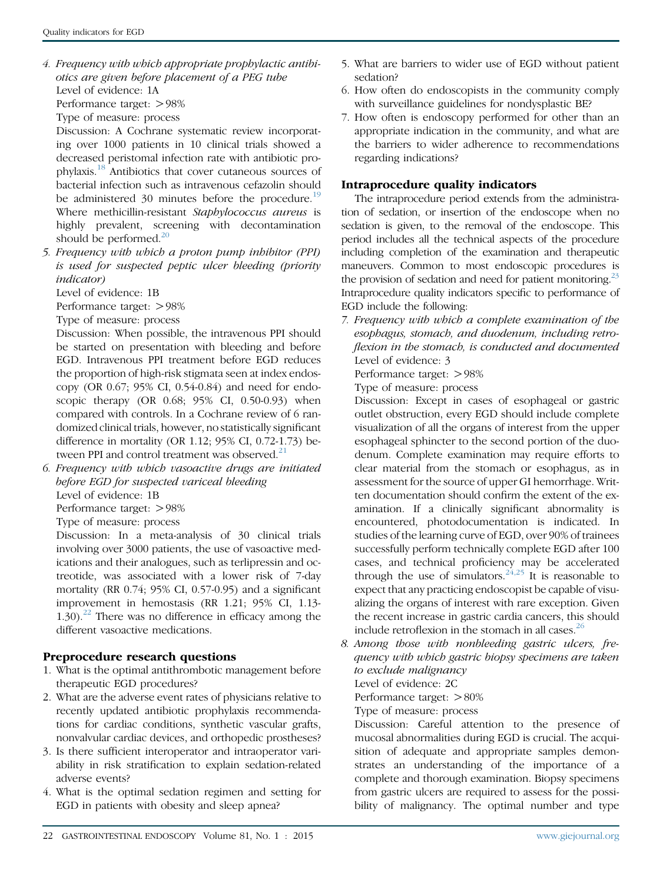4. Frequency with which appropriate prophylactic antibiotics are given before placement of a PEG tube Level of evidence: 1A

Performance target:  $>98\%$ 

Type of measure: process

Discussion: A Cochrane systematic review incorporating over 1000 patients in 10 clinical trials showed a decreased peristomal infection rate with antibiotic prophylaxis.[18](#page-12-0) Antibiotics that cover cutaneous sources of bacterial infection such as intravenous cefazolin should be administered 30 minutes before the procedure.<sup>[19](#page-12-0)</sup> Where methicillin-resistant Staphylococcus aureus is highly prevalent, screening with decontamination should be performed. $^{20}$  $^{20}$  $^{20}$ 

5. Frequency with which a proton pump inhibitor (PPI) is used for suspected peptic ulcer bleeding (priority indicator)

Level of evidence: 1B

Performance target: > 98%

Type of measure: process

Discussion: When possible, the intravenous PPI should be started on presentation with bleeding and before EGD. Intravenous PPI treatment before EGD reduces the proportion of high-risk stigmata seen at index endoscopy (OR 0.67; 95% CI, 0.54-0.84) and need for endoscopic therapy (OR 0.68; 95% CI, 0.50-0.93) when compared with controls. In a Cochrane review of 6 randomized clinical trials, however, no statistically significant difference in mortality (OR 1.12; 95% CI, 0.72-1.73) be-tween PPI and control treatment was observed.<sup>[21](#page-12-0)</sup>

6. Frequency with which vasoactive drugs are initiated before EGD for suspected variceal bleeding Level of evidence: 1B Performance target: > 98%

Type of measure: process

Discussion: In a meta-analysis of 30 clinical trials involving over 3000 patients, the use of vasoactive medications and their analogues, such as terlipressin and octreotide, was associated with a lower risk of 7-day mortality (RR 0.74; 95% CI, 0.57-0.95) and a significant improvement in hemostasis (RR 1.21; 95% CI, 1.13- 1.30).<sup>[22](#page-12-0)</sup> There was no difference in efficacy among the different vasoactive medications.

#### Preprocedure research questions

- 1. What is the optimal antithrombotic management before therapeutic EGD procedures?
- 2. What are the adverse event rates of physicians relative to recently updated antibiotic prophylaxis recommendations for cardiac conditions, synthetic vascular grafts, nonvalvular cardiac devices, and orthopedic prostheses?
- 3. Is there sufficient interoperator and intraoperator variability in risk stratification to explain sedation-related adverse events?
- 4. What is the optimal sedation regimen and setting for EGD in patients with obesity and sleep apnea?
- 5. What are barriers to wider use of EGD without patient sedation?
- 6. How often do endoscopists in the community comply with surveillance guidelines for nondysplastic BE?
- 7. How often is endoscopy performed for other than an appropriate indication in the community, and what are the barriers to wider adherence to recommendations regarding indications?

### Intraprocedure quality indicators

The intraprocedure period extends from the administration of sedation, or insertion of the endoscope when no sedation is given, to the removal of the endoscope. This period includes all the technical aspects of the procedure including completion of the examination and therapeutic maneuvers. Common to most endoscopic procedures is the provision of sedation and need for patient monitoring.<sup>25</sup> Intraprocedure quality indicators specific to performance of EGD include the following:

7. Frequency with which a complete examination of the esophagus, stomach, and duodenum, including retroflexion in the stomach, is conducted and documented Level of evidence: 3

Performance target: > 98%

Type of measure: process

Discussion: Except in cases of esophageal or gastric outlet obstruction, every EGD should include complete visualization of all the organs of interest from the upper esophageal sphincter to the second portion of the duodenum. Complete examination may require efforts to clear material from the stomach or esophagus, as in assessment for the source of upper GI hemorrhage. Written documentation should confirm the extent of the examination. If a clinically significant abnormality is encountered, photodocumentation is indicated. In studies of the learning curve of EGD, over 90% of trainees successfully perform technically complete EGD after 100 cases, and technical proficiency may be accelerated through the use of simulators.<sup>[24,25](#page-12-0)</sup> It is reasonable to expect that any practicing endoscopist be capable of visualizing the organs of interest with rare exception. Given the recent increase in gastric cardia cancers, this should include retroflexion in the stomach in all cases.<sup>[26](#page-12-0)</sup>

8. Among those with nonbleeding gastric ulcers, frequency with which gastric biopsy specimens are taken to exclude malignancy

Level of evidence: 2C

Performance target:  $>80\%$ 

Type of measure: process

Discussion: Careful attention to the presence of mucosal abnormalities during EGD is crucial. The acquisition of adequate and appropriate samples demonstrates an understanding of the importance of a complete and thorough examination. Biopsy specimens from gastric ulcers are required to assess for the possibility of malignancy. The optimal number and type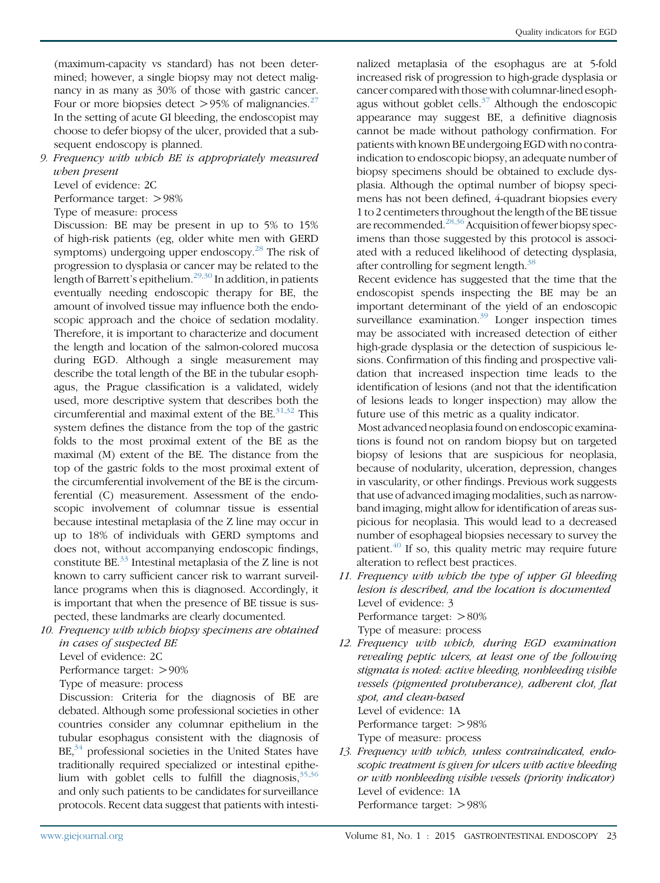(maximum-capacity vs standard) has not been determined; however, a single biopsy may not detect malignancy in as many as 30% of those with gastric cancer. Four or more biopsies detect  $> 95\%$  of malignancies.<sup>[27](#page-12-0)</sup> In the setting of acute GI bleeding, the endoscopist may choose to defer biopsy of the ulcer, provided that a subsequent endoscopy is planned.

9. Frequency with which BE is appropriately measured when present

Level of evidence: 2C

Performance target: > 98%

Type of measure: process

Discussion: BE may be present in up to 5% to 15% of high-risk patients (eg, older white men with GERD symptoms) undergoing upper endoscopy.[28](#page-12-0) The risk of progression to dysplasia or cancer may be related to the length of Barrett's epithelium.<sup>[29,30](#page-12-0)</sup> In addition, in patients eventually needing endoscopic therapy for BE, the amount of involved tissue may influence both the endoscopic approach and the choice of sedation modality. Therefore, it is important to characterize and document the length and location of the salmon-colored mucosa during EGD. Although a single measurement may describe the total length of the BE in the tubular esophagus, the Prague classification is a validated, widely used, more descriptive system that describes both the circumferential and maximal extent of the  $BE^{31,32}$  This system defines the distance from the top of the gastric folds to the most proximal extent of the BE as the maximal (M) extent of the BE. The distance from the top of the gastric folds to the most proximal extent of the circumferential involvement of the BE is the circumferential (C) measurement. Assessment of the endoscopic involvement of columnar tissue is essential because intestinal metaplasia of the Z line may occur in up to 18% of individuals with GERD symptoms and does not, without accompanying endoscopic findings, constitute  $BE^{33}$  $BE^{33}$  $BE^{33}$  Intestinal metaplasia of the Z line is not known to carry sufficient cancer risk to warrant surveillance programs when this is diagnosed. Accordingly, it is important that when the presence of BE tissue is suspected, these landmarks are clearly documented.

10. Frequency with which biopsy specimens are obtained in cases of suspected BE

Level of evidence: 2C

Performance target:  $>90\%$ 

Type of measure: process

Discussion: Criteria for the diagnosis of BE are debated. Although some professional societies in other countries consider any columnar epithelium in the tubular esophagus consistent with the diagnosis of  $BE<sub>1</sub><sup>34</sup>$  $BE<sub>1</sub><sup>34</sup>$  $BE<sub>1</sub><sup>34</sup>$  professional societies in the United States have traditionally required specialized or intestinal epithelium with goblet cells to fulfill the diagnosis,  $35,36$ and only such patients to be candidates for surveillance protocols. Recent data suggest that patients with intestinalized metaplasia of the esophagus are at 5-fold increased risk of progression to high-grade dysplasia or cancer compared with those with columnar-lined esophagus without goblet cells. $37$  Although the endoscopic appearance may suggest BE, a definitive diagnosis cannot be made without pathology confirmation. For patients with known BE undergoing EGD with no contraindication to endoscopic biopsy, an adequate number of biopsy specimens should be obtained to exclude dysplasia. Although the optimal number of biopsy specimens has not been defined, 4-quadrant biopsies every 1 to 2 centimeters throughout the length of the BE tissue are recommended.<sup>[28,36](#page-12-0)</sup> Acquisition of fewer biopsy specimens than those suggested by this protocol is associated with a reduced likelihood of detecting dysplasia, after controlling for segment length.<sup>[38](#page-13-0)</sup>

Recent evidence has suggested that the time that the endoscopist spends inspecting the BE may be an important determinant of the yield of an endoscopic surveillance examination. $39$  Longer inspection times may be associated with increased detection of either high-grade dysplasia or the detection of suspicious lesions. Confirmation of this finding and prospective validation that increased inspection time leads to the identification of lesions (and not that the identification of lesions leads to longer inspection) may allow the future use of this metric as a quality indicator.

Most advanced neoplasia found on endoscopic examinations is found not on random biopsy but on targeted biopsy of lesions that are suspicious for neoplasia, because of nodularity, ulceration, depression, changes in vascularity, or other findings. Previous work suggests that use of advanced imaging modalities, such as narrowband imaging, might allow for identification of areas suspicious for neoplasia. This would lead to a decreased number of esophageal biopsies necessary to survey the patient. $40$  If so, this quality metric may require future alteration to reflect best practices.

- 11. Frequency with which the type of upper GI bleeding lesion is described, and the location is documented Level of evidence: 3 Performance target:  $>80\%$ Type of measure: process
- 12. Frequency with which, during EGD examination revealing peptic ulcers, at least one of the following stigmata is noted: active bleeding, nonbleeding visible vessels (pigmented protuberance), adherent clot, flat spot, and clean-based Level of evidence: 1A Performance target: > 98% Type of measure: process
- 13. Frequency with which, unless contraindicated, endoscopic treatment is given for ulcers with active bleeding or with nonbleeding visible vessels (priority indicator) Level of evidence: 1A Performance target: > 98%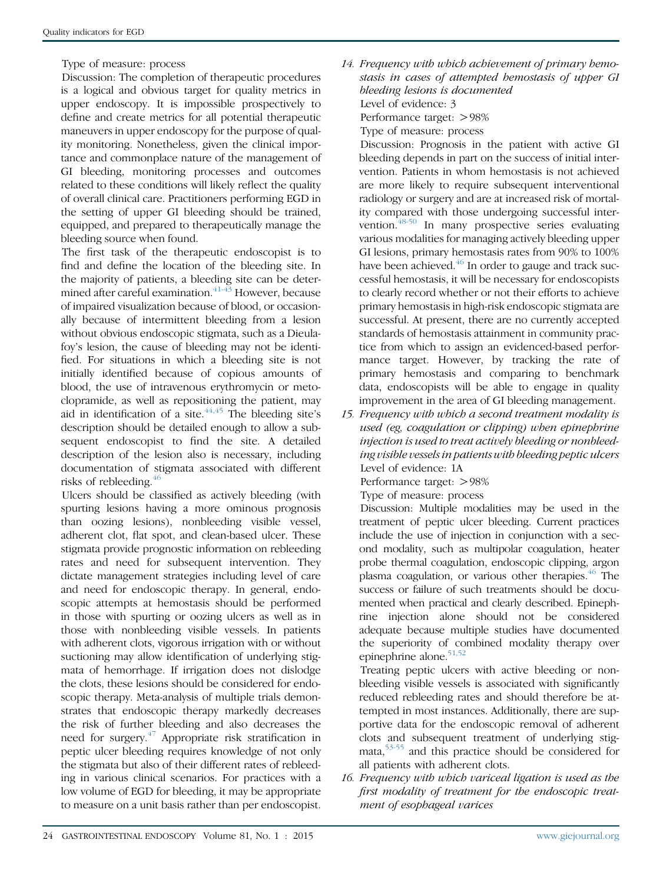Type of measure: process

Discussion: The completion of therapeutic procedures is a logical and obvious target for quality metrics in upper endoscopy. It is impossible prospectively to define and create metrics for all potential therapeutic maneuvers in upper endoscopy for the purpose of quality monitoring. Nonetheless, given the clinical importance and commonplace nature of the management of GI bleeding, monitoring processes and outcomes related to these conditions will likely reflect the quality of overall clinical care. Practitioners performing EGD in the setting of upper GI bleeding should be trained, equipped, and prepared to therapeutically manage the bleeding source when found.

The first task of the therapeutic endoscopist is to find and define the location of the bleeding site. In the majority of patients, a bleeding site can be determined after careful examination. $41-43$  However, because of impaired visualization because of blood, or occasionally because of intermittent bleeding from a lesion without obvious endoscopic stigmata, such as a Dieulafoy's lesion, the cause of bleeding may not be identified. For situations in which a bleeding site is not initially identified because of copious amounts of blood, the use of intravenous erythromycin or metoclopramide, as well as repositioning the patient, may aid in identification of a site. $44,45$  The bleeding site's description should be detailed enough to allow a subsequent endoscopist to find the site. A detailed description of the lesion also is necessary, including documentation of stigmata associated with different risks of rebleeding. $46$ 

Ulcers should be classified as actively bleeding (with spurting lesions having a more ominous prognosis than oozing lesions), nonbleeding visible vessel, adherent clot, flat spot, and clean-based ulcer. These stigmata provide prognostic information on rebleeding rates and need for subsequent intervention. They dictate management strategies including level of care and need for endoscopic therapy. In general, endoscopic attempts at hemostasis should be performed in those with spurting or oozing ulcers as well as in those with nonbleeding visible vessels. In patients with adherent clots, vigorous irrigation with or without suctioning may allow identification of underlying stigmata of hemorrhage. If irrigation does not dislodge the clots, these lesions should be considered for endoscopic therapy. Meta-analysis of multiple trials demonstrates that endoscopic therapy markedly decreases the risk of further bleeding and also decreases the need for surgery. $47$  Appropriate risk stratification in peptic ulcer bleeding requires knowledge of not only the stigmata but also of their different rates of rebleeding in various clinical scenarios. For practices with a low volume of EGD for bleeding, it may be appropriate to measure on a unit basis rather than per endoscopist.

14. Frequency with which achievement of primary hemostasis in cases of attempted hemostasis of upper GI bleeding lesions is documented Level of evidence: 3 Performance target: > 98%

Type of measure: process

Discussion: Prognosis in the patient with active GI bleeding depends in part on the success of initial intervention. Patients in whom hemostasis is not achieved are more likely to require subsequent interventional radiology or surgery and are at increased risk of mortality compared with those undergoing successful inter-vention.<sup>[48-50](#page-13-0)</sup> In many prospective series evaluating various modalities for managing actively bleeding upper GI lesions, primary hemostasis rates from 90% to 100% have been achieved. $46$  In order to gauge and track successful hemostasis, it will be necessary for endoscopists to clearly record whether or not their efforts to achieve primary hemostasis in high-risk endoscopic stigmata are successful. At present, there are no currently accepted standards of hemostasis attainment in community practice from which to assign an evidenced-based performance target. However, by tracking the rate of primary hemostasis and comparing to benchmark data, endoscopists will be able to engage in quality improvement in the area of GI bleeding management.

15. Frequency with which a second treatment modality is used (eg, coagulation or clipping) when epinephrine injection is used to treat actively bleeding or nonbleeding visible vessels in patients with bleeding peptic ulcers Level of evidence: 1A

Performance target:  $>98\%$ 

Type of measure: process

Discussion: Multiple modalities may be used in the treatment of peptic ulcer bleeding. Current practices include the use of injection in conjunction with a second modality, such as multipolar coagulation, heater probe thermal coagulation, endoscopic clipping, argon plasma coagulation, or various other therapies. $46$  The success or failure of such treatments should be documented when practical and clearly described. Epinephrine injection alone should not be considered adequate because multiple studies have documented the superiority of combined modality therapy over epinephrine alone.<sup>51,52</sup>

Treating peptic ulcers with active bleeding or nonbleeding visible vessels is associated with significantly reduced rebleeding rates and should therefore be attempted in most instances. Additionally, there are supportive data for the endoscopic removal of adherent clots and subsequent treatment of underlying stigmata,[53-55](#page-13-0) and this practice should be considered for all patients with adherent clots.

16. Frequency with which variceal ligation is used as the first modality of treatment for the endoscopic treatment of esophageal varices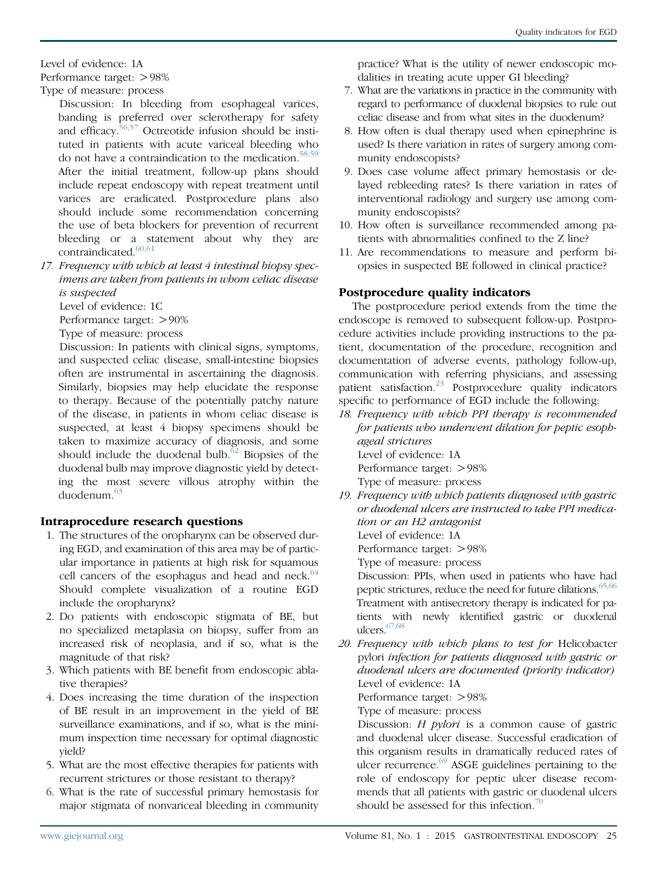#### Level of evidence: 1A

Performance target:  $>98\%$ 

Type of measure: process

- Discussion: In bleeding from esophageal varices, banding is preferred over sclerotherapy for safety and efficacy.[56,57](#page-13-0) Octreotide infusion should be instituted in patients with acute variceal bleeding who do not have a contraindication to the medication.<sup>[58,59](#page-13-0)</sup> After the initial treatment, follow-up plans should include repeat endoscopy with repeat treatment until varices are eradicated. Postprocedure plans also should include some recommendation concerning the use of beta blockers for prevention of recurrent bleeding or a statement about why they are  $contraindicated.<sup>60,61</sup>$  $contraindicated.<sup>60,61</sup>$  $contraindicated.<sup>60,61</sup>$
- 17. Frequency with which at least 4 intestinal biopsy specimens are taken from patients in whom celiac disease is suspected

Level of evidence: 1C

Performance target:  $>90\%$ 

Type of measure: process

Discussion: In patients with clinical signs, symptoms, and suspected celiac disease, small-intestine biopsies often are instrumental in ascertaining the diagnosis. Similarly, biopsies may help elucidate the response to therapy. Because of the potentially patchy nature of the disease, in patients in whom celiac disease is suspected, at least 4 biopsy specimens should be taken to maximize accuracy of diagnosis, and some should include the duodenal bulb. $62$  Biopsies of the duodenal bulb may improve diagnostic yield by detecting the most severe villous atrophy within the duodenum.<sup>[63](#page-13-0)</sup>

#### Intraprocedure research questions

- 1. The structures of the oropharynx can be observed during EGD, and examination of this area may be of particular importance in patients at high risk for squamous cell cancers of the esophagus and head and neck.<sup>[64](#page-13-0)</sup> Should complete visualization of a routine EGD include the oropharynx?
- 2. Do patients with endoscopic stigmata of BE, but no specialized metaplasia on biopsy, suffer from an increased risk of neoplasia, and if so, what is the magnitude of that risk?
- 3. Which patients with BE benefit from endoscopic ablative therapies?
- 4. Does increasing the time duration of the inspection of BE result in an improvement in the yield of BE surveillance examinations, and if so, what is the minimum inspection time necessary for optimal diagnostic yield?
- 5. What are the most effective therapies for patients with recurrent strictures or those resistant to therapy?
- 6. What is the rate of successful primary hemostasis for major stigmata of nonvariceal bleeding in community

practice? What is the utility of newer endoscopic modalities in treating acute upper GI bleeding?

- 7. What are the variations in practice in the community with regard to performance of duodenal biopsies to rule out celiac disease and from what sites in the duodenum?
- 8. How often is dual therapy used when epinephrine is used? Is there variation in rates of surgery among community endoscopists?
- 9. Does case volume affect primary hemostasis or delayed rebleeding rates? Is there variation in rates of interventional radiology and surgery use among community endoscopists?
- 10. How often is surveillance recommended among patients with abnormalities confined to the Z line?
- 11. Are recommendations to measure and perform biopsies in suspected BE followed in clinical practice?

### Postprocedure quality indicators

The postprocedure period extends from the time the endoscope is removed to subsequent follow-up. Postprocedure activities include providing instructions to the patient, documentation of the procedure, recognition and documentation of adverse events, pathology follow-up, communication with referring physicians, and assessing patient satisfaction. $^{23}$  $^{23}$  $^{23}$  Postprocedure quality indicators specific to performance of EGD include the following:

- 18. Frequency with which PPI therapy is recommended for patients who underwent dilation for peptic esophageal strictures Level of evidence: 1A Performance target: > 98%
- 19. Frequency with which patients diagnosed with gastric or duodenal ulcers are instructed to take PPI medication or an H2 antagonist Level of evidence: 1A

Performance target: > 98%

Type of measure: process

Type of measure: process

Discussion: PPIs, when used in patients who have had peptic strictures, reduce the need for future dilations.<sup>[65,66](#page-13-0)</sup> Treatment with antisecretory therapy is indicated for patients with newly identified gastric or duodenal  $ulcers.<sup>67,68</sup>$ 

20. Frequency with which plans to test for Helicobacter pylori infection for patients diagnosed with gastric or duodenal ulcers are documented (priority indicator) Level of evidence: 1A

Performance target:  $>98\%$ 

Type of measure: process

Discussion: *H pylori* is a common cause of gastric and duodenal ulcer disease. Successful eradication of this organism results in dramatically reduced rates of ulcer recurrence. $69$  ASGE guidelines pertaining to the role of endoscopy for peptic ulcer disease recommends that all patients with gastric or duodenal ulcers should be assessed for this infection.<sup>[70](#page-13-0)</sup>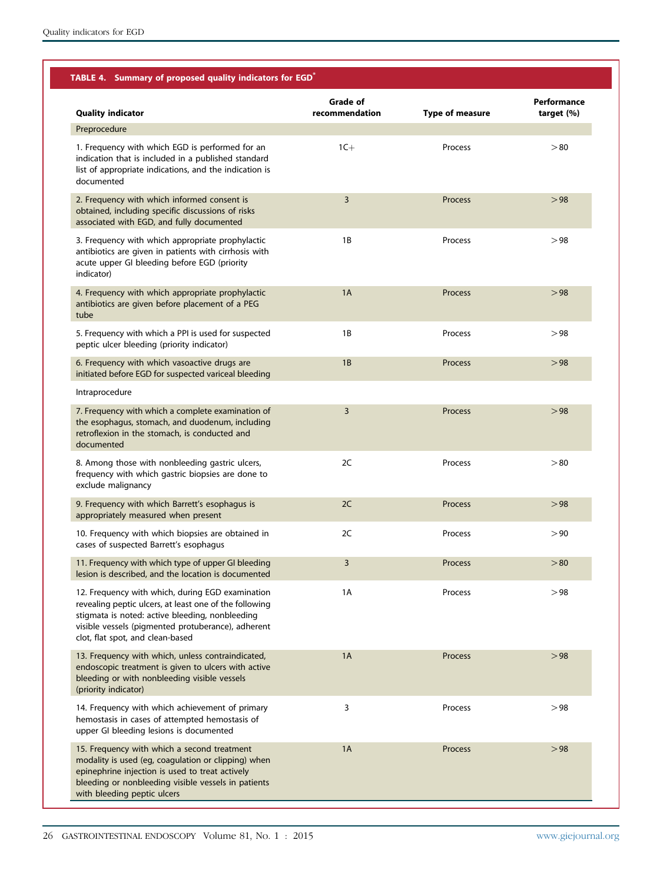<span id="page-9-0"></span>

| <b>Quality indicator</b>                                                                                                                                                                                                                                | Grade of<br>recommendation | Type of measure | Performance<br>target (%) |
|---------------------------------------------------------------------------------------------------------------------------------------------------------------------------------------------------------------------------------------------------------|----------------------------|-----------------|---------------------------|
| Preprocedure                                                                                                                                                                                                                                            |                            |                 |                           |
| 1. Frequency with which EGD is performed for an<br>indication that is included in a published standard<br>list of appropriate indications, and the indication is<br>documented                                                                          | $1C+$                      | Process         | > 80                      |
| 2. Frequency with which informed consent is<br>obtained, including specific discussions of risks<br>associated with EGD, and fully documented                                                                                                           | 3                          | Process         | > 98                      |
| 3. Frequency with which appropriate prophylactic<br>antibiotics are given in patients with cirrhosis with<br>acute upper GI bleeding before EGD (priority<br>indicator)                                                                                 | 1B                         | Process         | > 98                      |
| 4. Frequency with which appropriate prophylactic<br>antibiotics are given before placement of a PEG<br>tube                                                                                                                                             | 1A                         | <b>Process</b>  | > 98                      |
| 5. Frequency with which a PPI is used for suspected<br>peptic ulcer bleeding (priority indicator)                                                                                                                                                       | 1B                         | Process         | > 98                      |
| 6. Frequency with which vasoactive drugs are<br>initiated before EGD for suspected variceal bleeding                                                                                                                                                    | 1B                         | Process         | > 98                      |
| Intraprocedure                                                                                                                                                                                                                                          |                            |                 |                           |
| 7. Frequency with which a complete examination of<br>the esophagus, stomach, and duodenum, including<br>retroflexion in the stomach, is conducted and<br>documented                                                                                     | 3                          | <b>Process</b>  | > 98                      |
| 8. Among those with nonbleeding gastric ulcers,<br>frequency with which gastric biopsies are done to<br>exclude malignancy                                                                                                                              | 2C                         | Process         | > 80                      |
| 9. Frequency with which Barrett's esophagus is<br>appropriately measured when present                                                                                                                                                                   | 2C                         | <b>Process</b>  | > 98                      |
| 10. Frequency with which biopsies are obtained in<br>cases of suspected Barrett's esophagus                                                                                                                                                             | 2C                         | Process         | > 90                      |
| 11. Frequency with which type of upper GI bleeding<br>lesion is described, and the location is documented                                                                                                                                               | 3                          | Process         | > 80                      |
| 12. Frequency with which, during EGD examination<br>revealing peptic ulcers, at least one of the following<br>stigmata is noted: active bleeding, nonbleeding<br>visible vessels (pigmented protuberance), adherent<br>clot, flat spot, and clean-based | 1A                         | Process         | > 98                      |
| 13. Frequency with which, unless contraindicated,<br>endoscopic treatment is given to ulcers with active<br>bleeding or with nonbleeding visible vessels<br>(priority indicator)                                                                        | 1A                         | <b>Process</b>  | > 98                      |
| 14. Frequency with which achievement of primary<br>hemostasis in cases of attempted hemostasis of<br>upper GI bleeding lesions is documented                                                                                                            | 3                          | Process         | > 98                      |
| 15. Frequency with which a second treatment<br>modality is used (eg, coagulation or clipping) when<br>epinephrine injection is used to treat actively<br>bleeding or nonbleeding visible vessels in patients<br>with bleeding peptic ulcers             | 1A                         | Process         | > 98                      |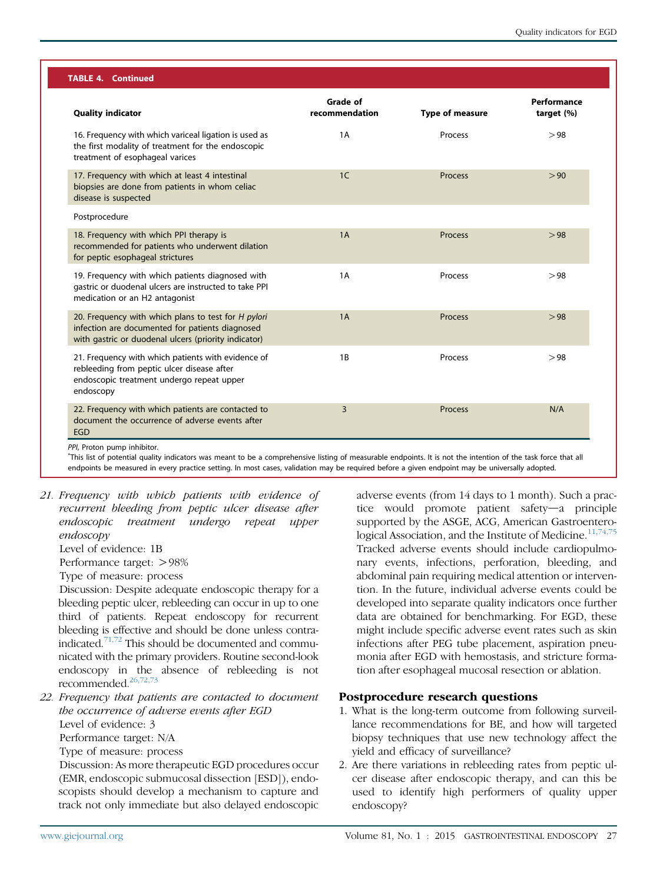<span id="page-10-0"></span>

| <b>Quality indicator</b>                                                                                                                                       | <b>Grade of</b><br>recommendation | <b>Type of measure</b> | Performance<br>target (%) |
|----------------------------------------------------------------------------------------------------------------------------------------------------------------|-----------------------------------|------------------------|---------------------------|
| 16. Frequency with which variceal ligation is used as<br>the first modality of treatment for the endoscopic<br>treatment of esophageal varices                 | 1A                                | Process                | > 98                      |
| 17. Frequency with which at least 4 intestinal<br>biopsies are done from patients in whom celiac<br>disease is suspected                                       | 1 <sup>C</sup>                    | Process                | > 90                      |
| Postprocedure                                                                                                                                                  |                                   |                        |                           |
| 18. Frequency with which PPI therapy is<br>recommended for patients who underwent dilation<br>for peptic esophageal strictures                                 | 1A                                | Process                | > 98                      |
| 19. Frequency with which patients diagnosed with<br>gastric or duodenal ulcers are instructed to take PPI<br>medication or an H2 antagonist                    | 1A                                | Process                | > 98                      |
| 20. Frequency with which plans to test for H pylori<br>infection are documented for patients diagnosed<br>with gastric or duodenal ulcers (priority indicator) | 1A                                | Process                | > 98                      |
| 21. Frequency with which patients with evidence of<br>rebleeding from peptic ulcer disease after<br>endoscopic treatment undergo repeat upper<br>endoscopy     | 1B                                | Process                | > 98                      |
| 22. Frequency with which patients are contacted to<br>document the occurrence of adverse events after<br><b>EGD</b>                                            | $\overline{3}$                    | Process                | N/A                       |

PPI, Proton pump inhibitor.<br>"This list of potential quality indicators was meant to be a comprehensive listing of measurable endpoints. It is not the intention of the task force that all endpoints be measured in every practice setting. In most cases, validation may be required before a given endpoint may be universally adopted.

21. Frequency with which patients with evidence of recurrent bleeding from peptic ulcer disease after endoscopic treatment undergo repeat upper endoscopy

Level of evidence: 1B

Performance target:  $>98\%$ 

Type of measure: process

Discussion: Despite adequate endoscopic therapy for a bleeding peptic ulcer, rebleeding can occur in up to one third of patients. Repeat endoscopy for recurrent bleeding is effective and should be done unless contraindicated.[71,72](#page-13-0) This should be documented and communicated with the primary providers. Routine second-look endoscopy in the absence of rebleeding is not recommended.[26,72,73](#page-12-0)

22. Frequency that patients are contacted to document the occurrence of adverse events after EGD Level of evidence: 3

Performance target: N/A

Type of measure: process

Discussion: As more therapeutic EGD procedures occur (EMR, endoscopic submucosal dissection [ESD]), endoscopists should develop a mechanism to capture and track not only immediate but also delayed endoscopic

adverse events (from 14 days to 1 month). Such a practice would promote patient safety $-a$  principle supported by the ASGE, ACG, American Gastroentero-logical Association, and the Institute of Medicine.<sup>[11,74,75](#page-12-0)</sup> Tracked adverse events should include cardiopulmonary events, infections, perforation, bleeding, and abdominal pain requiring medical attention or intervention. In the future, individual adverse events could be developed into separate quality indicators once further data are obtained for benchmarking. For EGD, these might include specific adverse event rates such as skin infections after PEG tube placement, aspiration pneumonia after EGD with hemostasis, and stricture formation after esophageal mucosal resection or ablation.

## Postprocedure research questions

- 1. What is the long-term outcome from following surveillance recommendations for BE, and how will targeted biopsy techniques that use new technology affect the yield and efficacy of surveillance?
- 2. Are there variations in rebleeding rates from peptic ulcer disease after endoscopic therapy, and can this be used to identify high performers of quality upper endoscopy?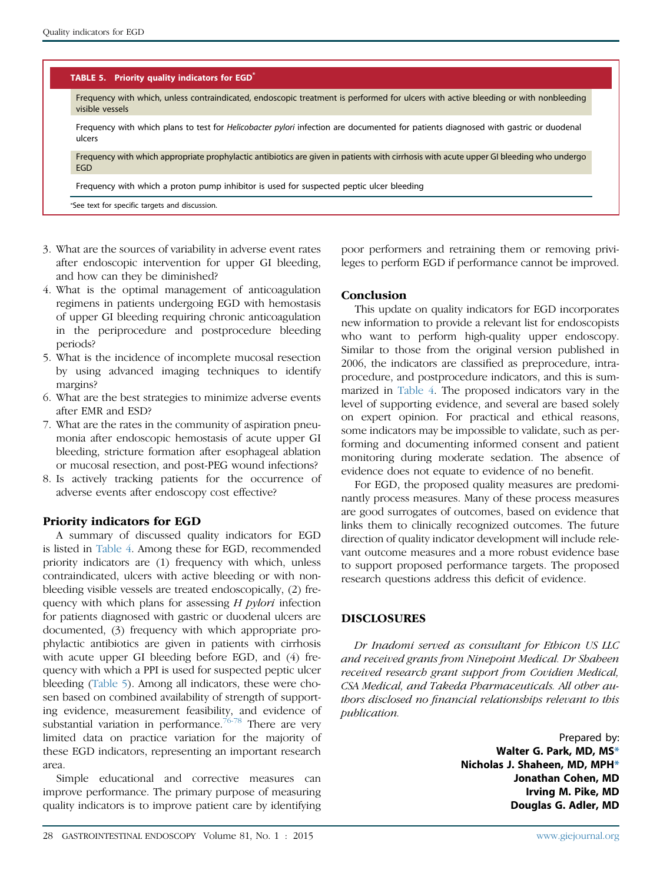#### TABLE 5. Priority quality indicators for EGD<sup>\*</sup>

Frequency with which, unless contraindicated, endoscopic treatment is performed for ulcers with active bleeding or with nonbleeding visible vessels

Frequency with which plans to test for Helicobacter pylori infection are documented for patients diagnosed with gastric or duodenal ulcers

Frequency with which appropriate prophylactic antibiotics are given in patients with cirrhosis with acute upper GI bleeding who undergo **EGD** 

Frequency with which a proton pump inhibitor is used for suspected peptic ulcer bleeding

\*See text for specific targets and discussion.

- 3. What are the sources of variability in adverse event rates after endoscopic intervention for upper GI bleeding, and how can they be diminished?
- 4. What is the optimal management of anticoagulation regimens in patients undergoing EGD with hemostasis of upper GI bleeding requiring chronic anticoagulation in the periprocedure and postprocedure bleeding periods?
- 5. What is the incidence of incomplete mucosal resection by using advanced imaging techniques to identify margins?
- 6. What are the best strategies to minimize adverse events after EMR and ESD?
- 7. What are the rates in the community of aspiration pneumonia after endoscopic hemostasis of acute upper GI bleeding, stricture formation after esophageal ablation or mucosal resection, and post-PEG wound infections?
- 8. Is actively tracking patients for the occurrence of adverse events after endoscopy cost effective?

### Priority indicators for EGD

A summary of discussed quality indicators for EGD is listed in [Table 4](#page-9-0). Among these for EGD, recommended priority indicators are (1) frequency with which, unless contraindicated, ulcers with active bleeding or with nonbleeding visible vessels are treated endoscopically, (2) frequency with which plans for assessing  $H$  pylori infection for patients diagnosed with gastric or duodenal ulcers are documented, (3) frequency with which appropriate prophylactic antibiotics are given in patients with cirrhosis with acute upper GI bleeding before EGD, and (4) frequency with which a PPI is used for suspected peptic ulcer bleeding (Table 5). Among all indicators, these were chosen based on combined availability of strength of supporting evidence, measurement feasibility, and evidence of substantial variation in performance.<sup>[76-78](#page-13-0)</sup> There are very limited data on practice variation for the majority of these EGD indicators, representing an important research area.

Simple educational and corrective measures can improve performance. The primary purpose of measuring quality indicators is to improve patient care by identifying poor performers and retraining them or removing privileges to perform EGD if performance cannot be improved.

### Conclusion

This update on quality indicators for EGD incorporates new information to provide a relevant list for endoscopists who want to perform high-quality upper endoscopy. Similar to those from the original version published in 2006, the indicators are classified as preprocedure, intraprocedure, and postprocedure indicators, and this is summarized in [Table 4.](#page-9-0) The proposed indicators vary in the level of supporting evidence, and several are based solely on expert opinion. For practical and ethical reasons, some indicators may be impossible to validate, such as performing and documenting informed consent and patient monitoring during moderate sedation. The absence of evidence does not equate to evidence of no benefit.

For EGD, the proposed quality measures are predominantly process measures. Many of these process measures are good surrogates of outcomes, based on evidence that links them to clinically recognized outcomes. The future direction of quality indicator development will include relevant outcome measures and a more robust evidence base to support proposed performance targets. The proposed research questions address this deficit of evidence.

### DISCLOSURES

Dr Inadomi served as consultant for Ethicon US LLC and received grants from Ninepoint Medical. Dr Shaheen received research grant support from Covidien Medical, CSA Medical, and Takeda Pharmaceuticals. All other authors disclosed no financial relationships relevant to this publication.

> Prepared by: Walter G. Park, MD, MS\* Nicholas J. Shaheen, MD, MPH\* Jonathan Cohen, MD Irving M. Pike, MD Douglas G. Adler, MD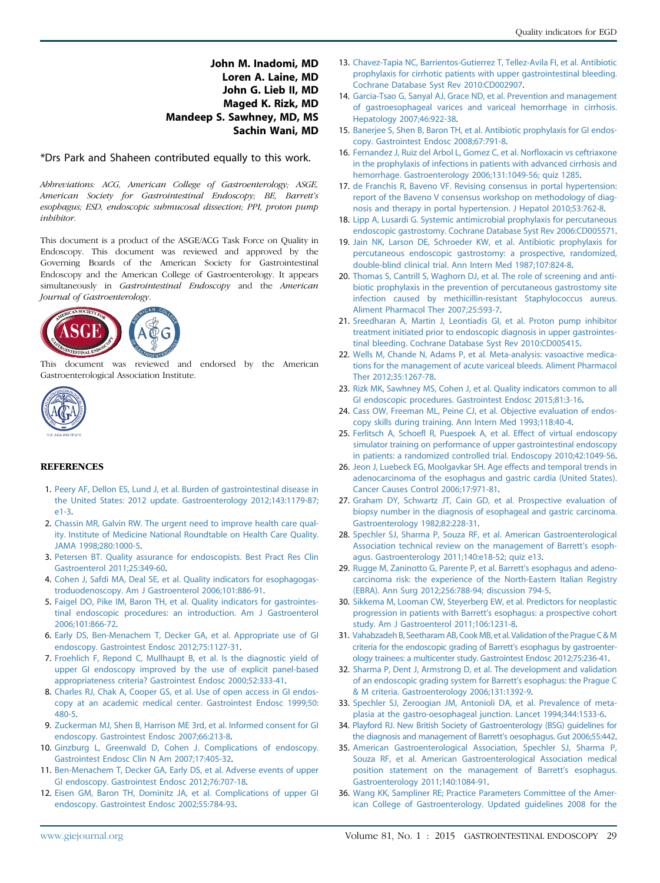### John M. Inadomi, MD Loren A. Laine, MD John G. Lieb II, MD Maged K. Rizk, MD Mandeep S. Sawhney, MD, MS Sachin Wani, MD

<span id="page-12-0"></span>\*Drs Park and Shaheen contributed equally to this work.

Abbreviations: ACG, American College of Gastroenterology; ASGE, American Society for Gastrointestinal Endoscopy; BE, Barrett's esophagus; ESD, endoscopic submucosal dissection; PPI, proton pump inhibitor.

This document is a product of the ASGE/ACG Task Force on Quality in Endoscopy. This document was reviewed and approved by the Governing Boards of the American Society for Gastrointestinal Endoscopy and the American College of Gastroenterology. It appears simultaneously in Gastrointestinal Endoscopy and the American Journal of Gastroenterology.



This document was reviewed and endorsed by the American Gastroenterological Association Institute.



#### **REFERENCES**

- 1. [Peery AF, Dellon ES, Lund J, et al. Burden of gastrointestinal disease in](http://refhub.elsevier.com/S0016-5107(14)02050-1/sref1) [the United States: 2012 update. Gastroenterology 2012;143:1179-87;](http://refhub.elsevier.com/S0016-5107(14)02050-1/sref1) [e1-3](http://refhub.elsevier.com/S0016-5107(14)02050-1/sref1).
- 2. [Chassin MR, Galvin RW. The urgent need to improve health care qual](http://refhub.elsevier.com/S0016-5107(14)02050-1/sref2)[ity. Institute of Medicine National Roundtable on Health Care Quality.](http://refhub.elsevier.com/S0016-5107(14)02050-1/sref2) [JAMA 1998;280:1000-5](http://refhub.elsevier.com/S0016-5107(14)02050-1/sref2).
- 3. [Petersen BT. Quality assurance for endoscopists. Best Pract Res Clin](http://refhub.elsevier.com/S0016-5107(14)02050-1/sref3) [Gastroenterol 2011;25:349-60](http://refhub.elsevier.com/S0016-5107(14)02050-1/sref3).
- 4. [Cohen J, Safdi MA, Deal SE, et al. Quality indicators for esophagogas](http://refhub.elsevier.com/S0016-5107(14)02050-1/sref4)[troduodenoscopy. Am J Gastroenterol 2006;101:886-91](http://refhub.elsevier.com/S0016-5107(14)02050-1/sref4).
- 5. [Faigel DO, Pike IM, Baron TH, et al. Quality indicators for gastrointes](http://refhub.elsevier.com/S0016-5107(14)02050-1/sref5)[tinal endoscopic procedures: an introduction. Am J Gastroenterol](http://refhub.elsevier.com/S0016-5107(14)02050-1/sref5) [2006;101:866-72.](http://refhub.elsevier.com/S0016-5107(14)02050-1/sref5)
- 6. [Early DS, Ben-Menachem T, Decker GA, et al. Appropriate use of GI](http://refhub.elsevier.com/S0016-5107(14)02050-1/sref6) [endoscopy. Gastrointest Endosc 2012;75:1127-31](http://refhub.elsevier.com/S0016-5107(14)02050-1/sref6).
- 7. [Froehlich F, Repond C, Mullhaupt B, et al. Is the diagnostic yield of](http://refhub.elsevier.com/S0016-5107(14)02050-1/sref7) [upper GI endoscopy improved by the use of explicit panel-based](http://refhub.elsevier.com/S0016-5107(14)02050-1/sref7) [appropriateness criteria? Gastrointest Endosc 2000;52:333-41](http://refhub.elsevier.com/S0016-5107(14)02050-1/sref7).
- 8. [Charles RJ, Chak A, Cooper GS, et al. Use of open access in GI endos](http://refhub.elsevier.com/S0016-5107(14)02050-1/sref8)[copy at an academic medical center. Gastrointest Endosc 1999;50:](http://refhub.elsevier.com/S0016-5107(14)02050-1/sref8) [480-5](http://refhub.elsevier.com/S0016-5107(14)02050-1/sref8).
- 9. [Zuckerman MJ, Shen B, Harrison ME 3rd, et al. Informed consent for GI](http://refhub.elsevier.com/S0016-5107(14)02050-1/sref9) [endoscopy. Gastrointest Endosc 2007;66:213-8](http://refhub.elsevier.com/S0016-5107(14)02050-1/sref9).
- 10. [Ginzburg L, Greenwald D, Cohen J. Complications of endoscopy.](http://refhub.elsevier.com/S0016-5107(14)02050-1/sref10) [Gastrointest Endosc Clin N Am 2007;17:405-32.](http://refhub.elsevier.com/S0016-5107(14)02050-1/sref10)
- 11. [Ben-Menachem T, Decker GA, Early DS, et al. Adverse events of upper](http://refhub.elsevier.com/S0016-5107(14)02050-1/sref11) [GI endoscopy. Gastrointest Endosc 2012;76:707-18.](http://refhub.elsevier.com/S0016-5107(14)02050-1/sref11)
- 12. [Eisen GM, Baron TH, Dominitz JA, et al. Complications of upper GI](http://refhub.elsevier.com/S0016-5107(14)02050-1/sref12) [endoscopy. Gastrointest Endosc 2002;55:784-93](http://refhub.elsevier.com/S0016-5107(14)02050-1/sref12).
- 13. [Chavez-Tapia NC, Barrientos-Gutierrez T, Tellez-Avila FI, et al. Antibiotic](http://refhub.elsevier.com/S0016-5107(14)02050-1/sref13) [prophylaxis for cirrhotic patients with upper gastrointestinal bleeding.](http://refhub.elsevier.com/S0016-5107(14)02050-1/sref13) [Cochrane Database Syst Rev 2010:CD002907](http://refhub.elsevier.com/S0016-5107(14)02050-1/sref13).
- 14. [Garcia-Tsao G, Sanyal AJ, Grace ND, et al. Prevention and management](http://refhub.elsevier.com/S0016-5107(14)02050-1/sref14) [of gastroesophageal varices and variceal hemorrhage in cirrhosis.](http://refhub.elsevier.com/S0016-5107(14)02050-1/sref14) [Hepatology 2007;46:922-38](http://refhub.elsevier.com/S0016-5107(14)02050-1/sref14).
- 15. [Banerjee S, Shen B, Baron TH, et al. Antibiotic prophylaxis for GI endos](http://refhub.elsevier.com/S0016-5107(14)02050-1/sref15)[copy. Gastrointest Endosc 2008;67:791-8](http://refhub.elsevier.com/S0016-5107(14)02050-1/sref15).
- 16. [Fernandez J, Ruiz del Arbol L, Gomez C, et al. Norfloxacin vs ceftriaxone](http://refhub.elsevier.com/S0016-5107(14)02050-1/sref16) [in the prophylaxis of infections in patients with advanced cirrhosis and](http://refhub.elsevier.com/S0016-5107(14)02050-1/sref16) [hemorrhage. Gastroenterology 2006;131:1049-56; quiz 1285.](http://refhub.elsevier.com/S0016-5107(14)02050-1/sref16)
- 17. [de Franchis R, Baveno VF. Revising consensus in portal hypertension:](http://refhub.elsevier.com/S0016-5107(14)02050-1/sref17) [report of the Baveno V consensus workshop on methodology of diag](http://refhub.elsevier.com/S0016-5107(14)02050-1/sref17)[nosis and therapy in portal hypertension. J Hepatol 2010;53:762-8](http://refhub.elsevier.com/S0016-5107(14)02050-1/sref17).
- 18. [Lipp A, Lusardi G. Systemic antimicrobial prophylaxis for percutaneous](http://refhub.elsevier.com/S0016-5107(14)02050-1/sref18) [endoscopic gastrostomy. Cochrane Database Syst Rev 2006:CD005571](http://refhub.elsevier.com/S0016-5107(14)02050-1/sref18).
- 19. [Jain NK, Larson DE, Schroeder KW, et al. Antibiotic prophylaxis for](http://refhub.elsevier.com/S0016-5107(14)02050-1/sref19) [percutaneous endoscopic gastrostomy: a prospective, randomized,](http://refhub.elsevier.com/S0016-5107(14)02050-1/sref19) [double-blind clinical trial. Ann Intern Med 1987;107:824-8.](http://refhub.elsevier.com/S0016-5107(14)02050-1/sref19)
- 20. [Thomas S, Cantrill S, Waghorn DJ, et al. The role of screening and anti](http://refhub.elsevier.com/S0016-5107(14)02050-1/sref20)[biotic prophylaxis in the prevention of percutaneous gastrostomy site](http://refhub.elsevier.com/S0016-5107(14)02050-1/sref20) [infection caused by methicillin-resistant Staphylococcus aureus.](http://refhub.elsevier.com/S0016-5107(14)02050-1/sref20) [Aliment Pharmacol Ther 2007;25:593-7](http://refhub.elsevier.com/S0016-5107(14)02050-1/sref20).
- 21. [Sreedharan A, Martin J, Leontiadis GI, et al. Proton pump inhibitor](http://refhub.elsevier.com/S0016-5107(14)02050-1/sref21) [treatment initiated prior to endoscopic diagnosis in upper gastrointes](http://refhub.elsevier.com/S0016-5107(14)02050-1/sref21)[tinal bleeding. Cochrane Database Syst Rev 2010:CD005415.](http://refhub.elsevier.com/S0016-5107(14)02050-1/sref21)
- 22. [Wells M, Chande N, Adams P, et al. Meta-analysis: vasoactive medica](http://refhub.elsevier.com/S0016-5107(14)02050-1/sref22)[tions for the management of acute variceal bleeds. Aliment Pharmacol](http://refhub.elsevier.com/S0016-5107(14)02050-1/sref22) [Ther 2012;35:1267-78.](http://refhub.elsevier.com/S0016-5107(14)02050-1/sref22)
- 23. [Rizk MK, Sawhney MS, Cohen J, et al. Quality indicators common to all](http://refhub.elsevier.com/S0016-5107(14)02050-1/sref23x) [GI endoscopic procedures. Gastrointest Endosc 2015;81:3-16.](http://refhub.elsevier.com/S0016-5107(14)02050-1/sref23x)
- 24. [Cass OW, Freeman ML, Peine CJ, et al. Objective evaluation of endos](http://refhub.elsevier.com/S0016-5107(14)02050-1/sref23)[copy skills during training. Ann Intern Med 1993;118:40-4.](http://refhub.elsevier.com/S0016-5107(14)02050-1/sref23)
- 25. [Ferlitsch A, Schoefl R, Puespoek A, et al. Effect of virtual endoscopy](http://refhub.elsevier.com/S0016-5107(14)02050-1/sref24) [simulator training on performance of upper gastrointestinal endoscopy](http://refhub.elsevier.com/S0016-5107(14)02050-1/sref24) [in patients: a randomized controlled trial. Endoscopy 2010;42:1049-56](http://refhub.elsevier.com/S0016-5107(14)02050-1/sref24).
- 26. [Jeon J, Luebeck EG, Moolgavkar SH. Age effects and temporal trends in](http://refhub.elsevier.com/S0016-5107(14)02050-1/sref25) [adenocarcinoma of the esophagus and gastric cardia \(United States\).](http://refhub.elsevier.com/S0016-5107(14)02050-1/sref25) [Cancer Causes Control 2006;17:971-81](http://refhub.elsevier.com/S0016-5107(14)02050-1/sref25).
- 27. [Graham DY, Schwartz JT, Cain GD, et al. Prospective evaluation of](http://refhub.elsevier.com/S0016-5107(14)02050-1/sref26) [biopsy number in the diagnosis of esophageal and gastric carcinoma.](http://refhub.elsevier.com/S0016-5107(14)02050-1/sref26) [Gastroenterology 1982;82:228-31](http://refhub.elsevier.com/S0016-5107(14)02050-1/sref26).
- 28. [Spechler SJ, Sharma P, Souza RF, et al. American Gastroenterological](http://refhub.elsevier.com/S0016-5107(14)02050-1/sref27) [Association technical review on the management of Barrett](http://refhub.elsevier.com/S0016-5107(14)02050-1/sref27)'s esoph[agus. Gastroenterology 2011;140:e18-52; quiz e13](http://refhub.elsevier.com/S0016-5107(14)02050-1/sref27).
- 29. [Rugge M, Zaninotto G, Parente P, et al. Barrett](http://refhub.elsevier.com/S0016-5107(14)02050-1/sref28)'s esophagus and adeno[carcinoma risk: the experience of the North-Eastern Italian Registry](http://refhub.elsevier.com/S0016-5107(14)02050-1/sref28) [\(EBRA\). Ann Surg 2012;256:788-94; discussion 794-5.](http://refhub.elsevier.com/S0016-5107(14)02050-1/sref28)
- 30. [Sikkema M, Looman CW, Steyerberg EW, et al. Predictors for neoplastic](http://refhub.elsevier.com/S0016-5107(14)02050-1/sref29) [progression in patients with Barrett](http://refhub.elsevier.com/S0016-5107(14)02050-1/sref29)'s esophagus: a prospective cohort [study. Am J Gastroenterol 2011;106:1231-8](http://refhub.elsevier.com/S0016-5107(14)02050-1/sref29).
- 31. [Vahabzadeh B, Seetharam AB, Cook MB, et al. Validation of the Prague C & M](http://refhub.elsevier.com/S0016-5107(14)02050-1/sref30) [criteria for the endoscopic grading of Barrett](http://refhub.elsevier.com/S0016-5107(14)02050-1/sref30)'s esophagus by gastroenter[ology trainees: a multicenter study. Gastrointest Endosc 2012;75:236-41](http://refhub.elsevier.com/S0016-5107(14)02050-1/sref30).
- 32. [Sharma P, Dent J, Armstrong D, et al. The development and validation](http://refhub.elsevier.com/S0016-5107(14)02050-1/sref31) [of an endoscopic grading system for Barrett](http://refhub.elsevier.com/S0016-5107(14)02050-1/sref31)'s esophagus: the Prague C [& M criteria. Gastroenterology 2006;131:1392-9.](http://refhub.elsevier.com/S0016-5107(14)02050-1/sref31)
- 33. [Spechler SJ, Zeroogian JM, Antonioli DA, et al. Prevalence of meta](http://refhub.elsevier.com/S0016-5107(14)02050-1/sref32)[plasia at the gastro-oesophageal junction. Lancet 1994;344:1533-6.](http://refhub.elsevier.com/S0016-5107(14)02050-1/sref32)
- 34. [Playford RJ. New British Society of Gastroenterology \(BSG\) guidelines for](http://refhub.elsevier.com/S0016-5107(14)02050-1/sref33) [the diagnosis and management of Barrett](http://refhub.elsevier.com/S0016-5107(14)02050-1/sref33)'s oesophagus. Gut 2006;55:442.
- 35. [American Gastroenterological Association, Spechler SJ, Sharma P,](http://refhub.elsevier.com/S0016-5107(14)02050-1/sref34) [Souza RF, et al. American Gastroenterological Association medical](http://refhub.elsevier.com/S0016-5107(14)02050-1/sref34) [position statement on the management of Barrett](http://refhub.elsevier.com/S0016-5107(14)02050-1/sref34)'s esophagus. [Gastroenterology 2011;140:1084-91.](http://refhub.elsevier.com/S0016-5107(14)02050-1/sref34)
- 36. [Wang KK, Sampliner RE; Practice Parameters Committee of the Amer](http://refhub.elsevier.com/S0016-5107(14)02050-1/sref35)[ican College of Gastroenterology. Updated guidelines 2008 for the](http://refhub.elsevier.com/S0016-5107(14)02050-1/sref35)